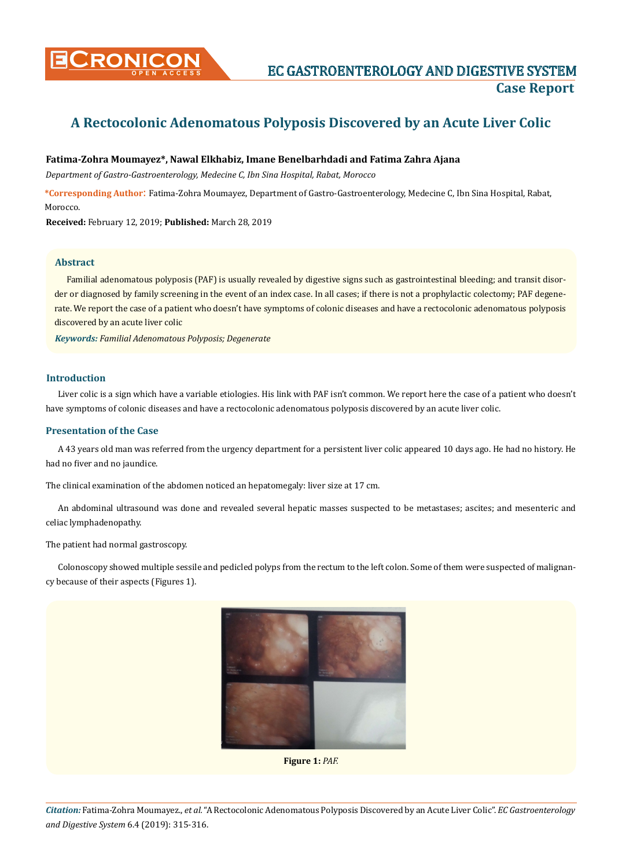

# **A Rectocolonic Adenomatous Polyposis Discovered by an Acute Liver Colic**

## **Fatima-Zohra Moumayez\*, Nawal Elkhabiz, Imane Benelbarhdadi and Fatima Zahra Ajana**

*Department of Gastro-Gastroenterology, Medecine C, Ibn Sina Hospital, Rabat, Morocco* 

**\*Corresponding Author**: Fatima-Zohra Moumayez, Department of Gastro-Gastroenterology, Medecine C, Ibn Sina Hospital, Rabat, **Morocco** 

**Received:** February 12, 2019; **Published:** March 28, 2019

## **Abstract**

Familial adenomatous polyposis (PAF) is usually revealed by digestive signs such as gastrointestinal bleeding; and transit disorder or diagnosed by family screening in the event of an index case. In all cases; if there is not a prophylactic colectomy; PAF degenerate. We report the case of a patient who doesn't have symptoms of colonic diseases and have a rectocolonic adenomatous polyposis discovered by an acute liver colic

*Keywords: Familial Adenomatous Polyposis; Degenerate*

#### **Introduction**

Liver colic is a sign which have a variable etiologies. His link with PAF isn't common. We report here the case of a patient who doesn't have symptoms of colonic diseases and have a rectocolonic adenomatous polyposis discovered by an acute liver colic.

## **Presentation of the Case**

A 43 years old man was referred from the urgency department for a persistent liver colic appeared 10 days ago. He had no history. He had no fiver and no jaundice.

The clinical examination of the abdomen noticed an hepatomegaly: liver size at 17 cm.

An abdominal ultrasound was done and revealed several hepatic masses suspected to be metastases; ascites; and mesenteric and celiac lymphadenopathy.

## The patient had normal gastroscopy.

Colonoscopy showed multiple sessile and pedicled polyps from the rectum to the left colon. Some of them were suspected of malignancy because of their aspects (Figures 1).



**Figure 1:** *PAF.*

*Citation:* Fatima-Zohra Moumayez., *et al.* "A Rectocolonic Adenomatous Polyposis Discovered by an Acute Liver Colic". *EC Gastroenterology and Digestive System* 6.4 (2019): 315-316.